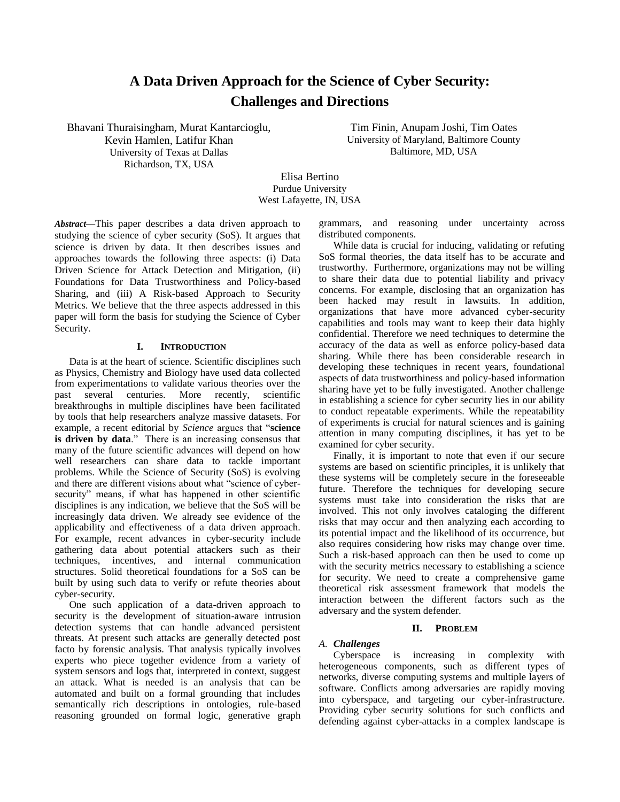# **A Data Driven Approach for the Science of Cyber Security: Challenges and Directions**

Bhavani Thuraisingham, Murat Kantarcioglu, Kevin Hamlen, Latifur Khan University of Texas at Dallas Richardson, TX, USA

Tim Finin, Anupam Joshi, Tim Oates University of Maryland, Baltimore County Baltimore, MD, USA

Elisa Bertino Purdue University West Lafayette, IN, USA

*Abstract***—**This paper describes a data driven approach to studying the science of cyber security (SoS). It argues that science is driven by data. It then describes issues and approaches towards the following three aspects: (i) Data Driven Science for Attack Detection and Mitigation, (ii) Foundations for Data Trustworthiness and Policy-based Sharing, and (iii) A Risk-based Approach to Security Metrics. We believe that the three aspects addressed in this paper will form the basis for studying the Science of Cyber Security.

#### **I. INTRODUCTION**

Data is at the heart of science. Scientific disciplines such as Physics, Chemistry and Biology have used data collected from experimentations to validate various theories over the past several centuries. More recently, scientific breakthroughs in multiple disciplines have been facilitated by tools that help researchers analyze massive datasets. For example, a recent editorial by *Science* argues that "**science is driven by data**." There is an increasing consensus that many of the future scientific advances will depend on how well researchers can share data to tackle important problems. While the Science of Security (SoS) is evolving and there are different visions about what "science of cybersecurity" means, if what has happened in other scientific disciplines is any indication, we believe that the SoS will be increasingly data driven. We already see evidence of the applicability and effectiveness of a data driven approach. For example, recent advances in cyber-security include gathering data about potential attackers such as their techniques, incentives, and internal communication structures. Solid theoretical foundations for a SoS can be built by using such data to verify or refute theories about cyber-security.

One such application of a data-driven approach to security is the development of situation-aware intrusion detection systems that can handle advanced persistent threats. At present such attacks are generally detected post facto by forensic analysis. That analysis typically involves experts who piece together evidence from a variety of system sensors and logs that, interpreted in context, suggest an attack. What is needed is an analysis that can be automated and built on a formal grounding that includes semantically rich descriptions in ontologies, rule-based reasoning grounded on formal logic, generative graph grammars, and reasoning under uncertainty across distributed components.

While data is crucial for inducing, validating or refuting SoS formal theories, the data itself has to be accurate and trustworthy. Furthermore, organizations may not be willing to share their data due to potential liability and privacy concerns. For example, disclosing that an organization has been hacked may result in lawsuits. In addition, organizations that have more advanced cyber-security capabilities and tools may want to keep their data highly confidential. Therefore we need techniques to determine the accuracy of the data as well as enforce policy-based data sharing. While there has been considerable research in developing these techniques in recent years, foundational aspects of data trustworthiness and policy-based information sharing have yet to be fully investigated. Another challenge in establishing a science for cyber security lies in our ability to conduct repeatable experiments. While the repeatability of experiments is crucial for natural sciences and is gaining attention in many computing disciplines, it has yet to be examined for cyber security.

Finally, it is important to note that even if our secure systems are based on scientific principles, it is unlikely that these systems will be completely secure in the foreseeable future. Therefore the techniques for developing secure systems must take into consideration the risks that are involved. This not only involves cataloging the different risks that may occur and then analyzing each according to its potential impact and the likelihood of its occurrence, but also requires considering how risks may change over time. Such a risk-based approach can then be used to come up with the security metrics necessary to establishing a science for security. We need to create a comprehensive game theoretical risk assessment framework that models the interaction between the different factors such as the adversary and the system defender.

#### **II. PROBLEM**

#### *A. Challenges*

Cyberspace is increasing in complexity with heterogeneous components, such as different types of networks, diverse computing systems and multiple layers of software. Conflicts among adversaries are rapidly moving into cyberspace, and targeting our cyber-infrastructure. Providing cyber security solutions for such conflicts and defending against cyber-attacks in a complex landscape is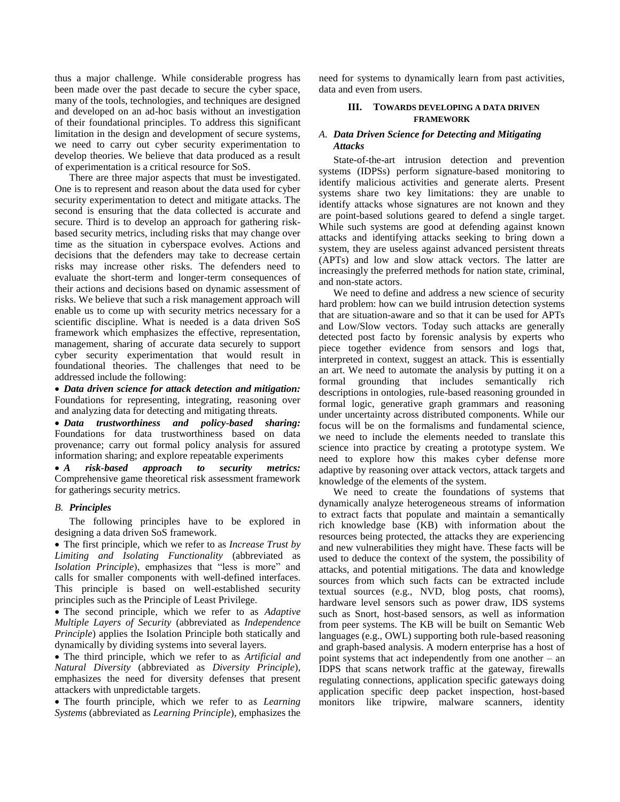thus a major challenge. While considerable progress has been made over the past decade to secure the cyber space, many of the tools, technologies, and techniques are designed and developed on an ad-hoc basis without an investigation of their foundational principles. To address this significant limitation in the design and development of secure systems, we need to carry out cyber security experimentation to develop theories. We believe that data produced as a result of experimentation is a critical resource for SoS.

There are three major aspects that must be investigated. One is to represent and reason about the data used for cyber security experimentation to detect and mitigate attacks. The second is ensuring that the data collected is accurate and secure. Third is to develop an approach for gathering riskbased security metrics, including risks that may change over time as the situation in cyberspace evolves. Actions and decisions that the defenders may take to decrease certain risks may increase other risks. The defenders need to evaluate the short-term and longer-term consequences of their actions and decisions based on dynamic assessment of risks. We believe that such a risk management approach will enable us to come up with security metrics necessary for a scientific discipline. What is needed is a data driven SoS framework which emphasizes the effective, representation, management, sharing of accurate data securely to support cyber security experimentation that would result in foundational theories. The challenges that need to be addressed include the following:

 *Data driven science for attack detection and mitigation:* Foundations for representing, integrating, reasoning over and analyzing data for detecting and mitigating threats.

 *Data trustworthiness and policy-based sharing:* Foundations for data trustworthiness based on data provenance; carry out formal policy analysis for assured information sharing; and explore repeatable experiments

 *A risk-based approach to security metrics:* Comprehensive game theoretical risk assessment framework for gatherings security metrics.

#### *B. Principles*

The following principles have to be explored in designing a data driven SoS framework.

 The first principle, which we refer to as *Increase Trust by Limiting and Isolating Functionality* (abbreviated as *Isolation Principle*), emphasizes that "less is more" and calls for smaller components with well-defined interfaces. This principle is based on well-established security principles such as the Principle of Least Privilege.

 The second principle, which we refer to as *Adaptive Multiple Layers of Security* (abbreviated as *Independence Principle*) applies the Isolation Principle both statically and dynamically by dividing systems into several layers.

 The third principle, which we refer to as *Artificial and Natural Diversity* (abbreviated as *Diversity Principle*), emphasizes the need for diversity defenses that present attackers with unpredictable targets.

 The fourth principle, which we refer to as *Learning Systems* (abbreviated as *Learning Principle*), emphasizes the

need for systems to dynamically learn from past activities, data and even from users.

#### **III. TOWARDS DEVELOPING A DATA DRIVEN FRAMEWORK**

#### *A. Data Driven Science for Detecting and Mitigating Attacks*

State-of-the-art intrusion detection and prevention systems (IDPSs) perform signature-based monitoring to identify malicious activities and generate alerts. Present systems share two key limitations: they are unable to identify attacks whose signatures are not known and they are point-based solutions geared to defend a single target. While such systems are good at defending against known attacks and identifying attacks seeking to bring down a system, they are useless against advanced persistent threats (APTs) and low and slow attack vectors. The latter are increasingly the preferred methods for nation state, criminal, and non-state actors.

We need to define and address a new science of security hard problem: how can we build intrusion detection systems that are situation-aware and so that it can be used for APTs and Low/Slow vectors. Today such attacks are generally detected post facto by forensic analysis by experts who piece together evidence from sensors and logs that, interpreted in context, suggest an attack. This is essentially an art. We need to automate the analysis by putting it on a formal grounding that includes semantically rich descriptions in ontologies, rule-based reasoning grounded in formal logic, generative graph grammars and reasoning under uncertainty across distributed components. While our focus will be on the formalisms and fundamental science, we need to include the elements needed to translate this science into practice by creating a prototype system. We need to explore how this makes cyber defense more adaptive by reasoning over attack vectors, attack targets and knowledge of the elements of the system.

We need to create the foundations of systems that dynamically analyze heterogeneous streams of information to extract facts that populate and maintain a semantically rich knowledge base (KB) with information about the resources being protected, the attacks they are experiencing and new vulnerabilities they might have. These facts will be used to deduce the context of the system, the possibility of attacks, and potential mitigations. The data and knowledge sources from which such facts can be extracted include textual sources (e.g., NVD, blog posts, chat rooms), hardware level sensors such as power draw, IDS systems such as Snort, host-based sensors, as well as information from peer systems. The KB will be built on Semantic Web languages (e.g., OWL) supporting both rule-based reasoning and graph-based analysis. A modern enterprise has a host of point systems that act independently from one another – an IDPS that scans network traffic at the gateway, firewalls regulating connections, application specific gateways doing application specific deep packet inspection, host-based monitors like tripwire, malware scanners, identity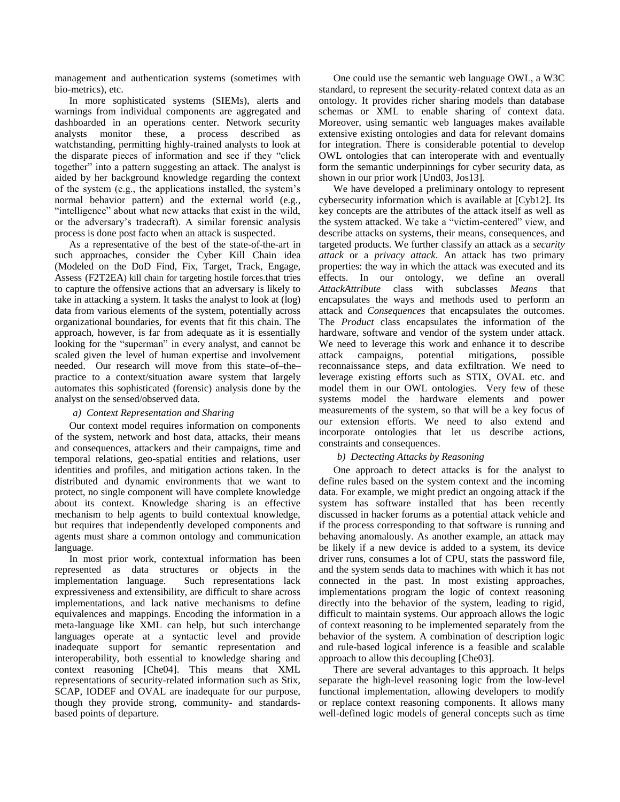management and authentication systems (sometimes with bio-metrics), etc.

In more sophisticated systems (SIEMs), alerts and warnings from individual components are aggregated and dashboarded in an operations center. Network security analysts monitor these, a process described as watchstanding, permitting highly-trained analysts to look at the disparate pieces of information and see if they "click together" into a pattern suggesting an attack. The analyst is aided by her background knowledge regarding the context of the system (e.g., the applications installed, the system's normal behavior pattern) and the external world (e.g., "intelligence" about what new attacks that exist in the wild, or the adversary's tradecraft). A similar forensic analysis process is done post facto when an attack is suspected.

As a representative of the best of the state-of-the-art in such approaches, consider the Cyber Kill Chain idea (Modeled on the DoD Find, Fix, Target, Track, Engage, Assess (F2T2EA) kill chain for targeting hostile forces.that tries to capture the offensive actions that an adversary is likely to take in attacking a system. It tasks the analyst to look at (log) data from various elements of the system, potentially across organizational boundaries, for events that fit this chain. The approach, however, is far from adequate as it is essentially looking for the "superman" in every analyst, and cannot be scaled given the level of human expertise and involvement needed. Our research will move from this state–of–the– practice to a context/situation aware system that largely automates this sophisticated (forensic) analysis done by the analyst on the sensed/observed data.

#### *a) Context Representation and Sharing*

Our context model requires information on components of the system, network and host data, attacks, their means and consequences, attackers and their campaigns, time and temporal relations, geo-spatial entities and relations, user identities and profiles, and mitigation actions taken. In the distributed and dynamic environments that we want to protect, no single component will have complete knowledge about its context. Knowledge sharing is an effective mechanism to help agents to build contextual knowledge, but requires that independently developed components and agents must share a common ontology and communication language.

In most prior work, contextual information has been represented as data structures or objects in the implementation language. Such representations lack Such representations lack expressiveness and extensibility, are difficult to share across implementations, and lack native mechanisms to define equivalences and mappings. Encoding the information in a meta-language like XML can help, but such interchange languages operate at a syntactic level and provide inadequate support for semantic representation and interoperability, both essential to knowledge sharing and context reasoning [Che04]. This means that XML representations of security-related information such as Stix, SCAP, IODEF and OVAL are inadequate for our purpose, though they provide strong, community- and standardsbased points of departure.

One could use the semantic web language OWL, a W3C standard, to represent the security-related context data as an ontology. It provides richer sharing models than database schemas or XML to enable sharing of context data. Moreover, using semantic web languages makes available extensive existing ontologies and data for relevant domains for integration. There is considerable potential to develop OWL ontologies that can interoperate with and eventually form the semantic underpinnings for cyber security data, as shown in our prior work [Und03, Jos13].

We have developed a preliminary ontology to represent cybersecurity information which is available at [Cyb12]. Its key concepts are the attributes of the attack itself as well as the system attacked. We take a "victim-centered" view, and describe attacks on systems, their means, consequences, and targeted products. We further classify an attack as a *security attack* or a *privacy attack*. An attack has two primary properties: the way in which the attack was executed and its effects. In our ontology, we define an overall *AttackAttribute* class with subclasses *Means* that encapsulates the ways and methods used to perform an attack and *Consequences* that encapsulates the outcomes. The *Product* class encapsulates the information of the hardware, software and vendor of the system under attack. We need to leverage this work and enhance it to describe attack campaigns, potential mitigations, possible reconnaissance steps, and data exfiltration. We need to leverage existing efforts such as STIX, OVAL etc. and model them in our OWL ontologies. Very few of these systems model the hardware elements and power measurements of the system, so that will be a key focus of our extension efforts. We need to also extend and incorporate ontologies that let us describe actions, constraints and consequences.

#### *b) Dectecting Attacks by Reasoning*

One approach to detect attacks is for the analyst to define rules based on the system context and the incoming data. For example, we might predict an ongoing attack if the system has software installed that has been recently discussed in hacker forums as a potential attack vehicle and if the process corresponding to that software is running and behaving anomalously. As another example, an attack may be likely if a new device is added to a system, its device driver runs, consumes a lot of CPU, stats the password file, and the system sends data to machines with which it has not connected in the past. In most existing approaches, implementations program the logic of context reasoning directly into the behavior of the system, leading to rigid, difficult to maintain systems. Our approach allows the logic of context reasoning to be implemented separately from the behavior of the system. A combination of description logic and rule-based logical inference is a feasible and scalable approach to allow this decoupling [Che03].

There are several advantages to this approach. It helps separate the high-level reasoning logic from the low-level functional implementation, allowing developers to modify or replace context reasoning components. It allows many well-defined logic models of general concepts such as time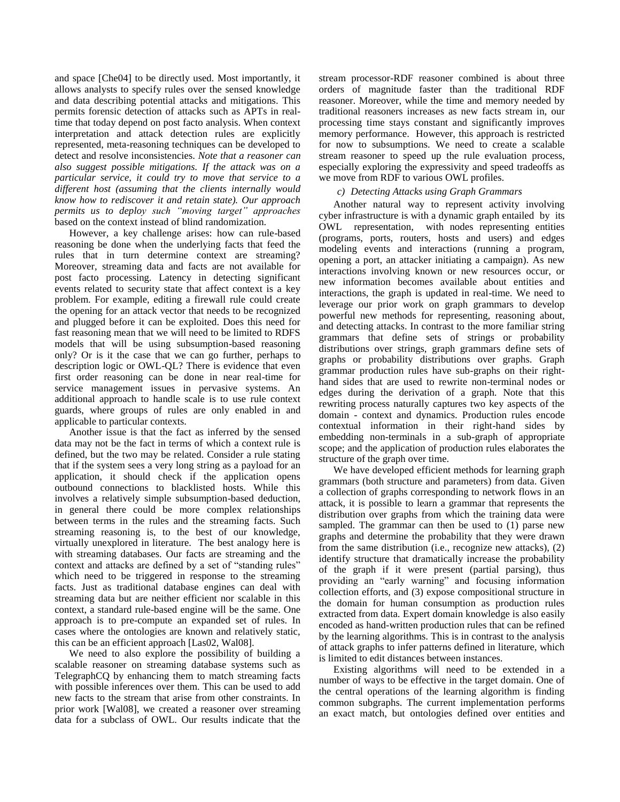and space [Che04] to be directly used. Most importantly, it allows analysts to specify rules over the sensed knowledge and data describing potential attacks and mitigations. This permits forensic detection of attacks such as APTs in realtime that today depend on post facto analysis. When context interpretation and attack detection rules are explicitly represented, meta-reasoning techniques can be developed to detect and resolve inconsistencies. *Note that a reasoner can also suggest possible mitigations. If the attack was on a particular service, it could try to move that service to a different host (assuming that the clients internally would know how to rediscover it and retain state). Our approach permits us to deploy such "moving target" approaches*  based on the context instead of blind randomization.

However, a key challenge arises: how can rule-based reasoning be done when the underlying facts that feed the rules that in turn determine context are streaming? Moreover, streaming data and facts are not available for post facto processing. Latency in detecting significant events related to security state that affect context is a key problem. For example, editing a firewall rule could create the opening for an attack vector that needs to be recognized and plugged before it can be exploited. Does this need for fast reasoning mean that we will need to be limited to RDFS models that will be using subsumption-based reasoning only? Or is it the case that we can go further, perhaps to description logic or OWL-QL? There is evidence that even first order reasoning can be done in near real-time for service management issues in pervasive systems. An additional approach to handle scale is to use rule context guards, where groups of rules are only enabled in and applicable to particular contexts.

Another issue is that the fact as inferred by the sensed data may not be the fact in terms of which a context rule is defined, but the two may be related. Consider a rule stating that if the system sees a very long string as a payload for an application, it should check if the application opens outbound connections to blacklisted hosts. While this involves a relatively simple subsumption-based deduction, in general there could be more complex relationships between terms in the rules and the streaming facts. Such streaming reasoning is, to the best of our knowledge, virtually unexplored in literature. The best analogy here is with streaming databases. Our facts are streaming and the context and attacks are defined by a set of "standing rules" which need to be triggered in response to the streaming facts. Just as traditional database engines can deal with streaming data but are neither efficient nor scalable in this context, a standard rule-based engine will be the same. One approach is to pre-compute an expanded set of rules. In cases where the ontologies are known and relatively static, this can be an efficient approach [Las02, Wal08].

We need to also explore the possibility of building a scalable reasoner on streaming database systems such as TelegraphCQ by enhancing them to match streaming facts with possible inferences over them. This can be used to add new facts to the stream that arise from other constraints. In prior work [Wal08], we created a reasoner over streaming data for a subclass of OWL. Our results indicate that the stream processor-RDF reasoner combined is about three orders of magnitude faster than the traditional RDF reasoner. Moreover, while the time and memory needed by traditional reasoners increases as new facts stream in, our processing time stays constant and significantly improves memory performance. However, this approach is restricted for now to subsumptions. We need to create a scalable stream reasoner to speed up the rule evaluation process, especially exploring the expressivity and speed tradeoffs as we move from RDF to various OWL profiles.

#### *c) Detecting Attacks using Graph Grammars*

Another natural way to represent activity involving cyber infrastructure is with a dynamic graph entailed by its OWL representation, with nodes representing entities (programs, ports, routers, hosts and users) and edges modeling events and interactions (running a program, opening a port, an attacker initiating a campaign). As new interactions involving known or new resources occur, or new information becomes available about entities and interactions, the graph is updated in real-time. We need to leverage our prior work on graph grammars to develop powerful new methods for representing, reasoning about, and detecting attacks. In contrast to the more familiar string grammars that define sets of strings or probability distributions over strings, graph grammars define sets of graphs or probability distributions over graphs. Graph grammar production rules have sub-graphs on their righthand sides that are used to rewrite non-terminal nodes or edges during the derivation of a graph. Note that this rewriting process naturally captures two key aspects of the domain - context and dynamics. Production rules encode contextual information in their right-hand sides by embedding non-terminals in a sub-graph of appropriate scope; and the application of production rules elaborates the structure of the graph over time.

We have developed efficient methods for learning graph grammars (both structure and parameters) from data. Given a collection of graphs corresponding to network flows in an attack, it is possible to learn a grammar that represents the distribution over graphs from which the training data were sampled. The grammar can then be used to (1) parse new graphs and determine the probability that they were drawn from the same distribution (i.e., recognize new attacks), (2) identify structure that dramatically increase the probability of the graph if it were present (partial parsing), thus providing an "early warning" and focusing information collection efforts, and (3) expose compositional structure in the domain for human consumption as production rules extracted from data. Expert domain knowledge is also easily encoded as hand-written production rules that can be refined by the learning algorithms. This is in contrast to the analysis of attack graphs to infer patterns defined in literature, which is limited to edit distances between instances.

Existing algorithms will need to be extended in a number of ways to be effective in the target domain. One of the central operations of the learning algorithm is finding common subgraphs. The current implementation performs an exact match, but ontologies defined over entities and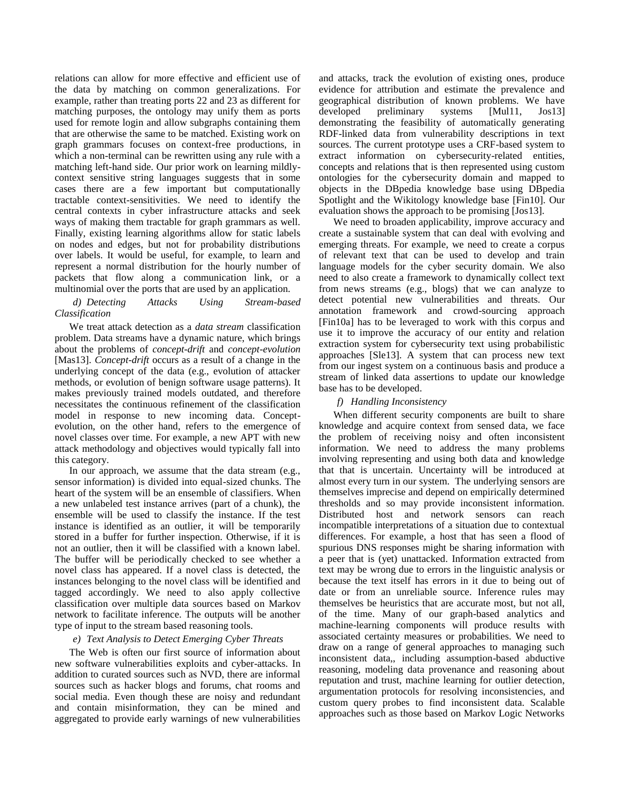relations can allow for more effective and efficient use of the data by matching on common generalizations. For example, rather than treating ports 22 and 23 as different for matching purposes, the ontology may unify them as ports used for remote login and allow subgraphs containing them that are otherwise the same to be matched. Existing work on graph grammars focuses on context-free productions, in which a non-terminal can be rewritten using any rule with a matching left-hand side. Our prior work on learning mildlycontext sensitive string languages suggests that in some cases there are a few important but computationally tractable context-sensitivities. We need to identify the central contexts in cyber infrastructure attacks and seek ways of making them tractable for graph grammars as well. Finally, existing learning algorithms allow for static labels on nodes and edges, but not for probability distributions over labels. It would be useful, for example, to learn and represent a normal distribution for the hourly number of packets that flow along a communication link, or a multinomial over the ports that are used by an application.

#### *d) Detecting Attacks Using Stream-based Classification*

We treat attack detection as a *data stream* classification problem. Data streams have a dynamic nature, which brings about the problems of *concept-drift* and *concept-evolution*  [Mas13]. *Concept-drift* occurs as a result of a change in the underlying concept of the data (e.g., evolution of attacker methods, or evolution of benign software usage patterns). It makes previously trained models outdated, and therefore necessitates the continuous refinement of the classification model in response to new incoming data. Conceptevolution, on the other hand, refers to the emergence of novel classes over time. For example, a new APT with new attack methodology and objectives would typically fall into this category.

In our approach, we assume that the data stream (e.g., sensor information) is divided into equal-sized chunks. The heart of the system will be an ensemble of classifiers. When a new unlabeled test instance arrives (part of a chunk), the ensemble will be used to classify the instance. If the test instance is identified as an outlier, it will be temporarily stored in a buffer for further inspection. Otherwise, if it is not an outlier, then it will be classified with a known label. The buffer will be periodically checked to see whether a novel class has appeared. If a novel class is detected, the instances belonging to the novel class will be identified and tagged accordingly. We need to also apply collective classification over multiple data sources based on Markov network to facilitate inference. The outputs will be another type of input to the stream based reasoning tools.

#### *e) Text Analysis to Detect Emerging Cyber Threats*

The Web is often our first source of information about new software vulnerabilities exploits and cyber-attacks. In addition to curated sources such as NVD, there are informal sources such as hacker blogs and forums, chat rooms and social media. Even though these are noisy and redundant and contain misinformation, they can be mined and aggregated to provide early warnings of new vulnerabilities and attacks, track the evolution of existing ones, produce evidence for attribution and estimate the prevalence and geographical distribution of known problems. We have developed preliminary systems [Mul11, Jos13] demonstrating the feasibility of automatically generating RDF-linked data from vulnerability descriptions in text sources. The current prototype uses a CRF-based system to extract information on cybersecurity-related entities, concepts and relations that is then represented using custom ontologies for the cybersecurity domain and mapped to objects in the DBpedia knowledge base using DBpedia Spotlight and the Wikitology knowledge base [Fin10]. Our evaluation shows the approach to be promising [Jos13].

We need to broaden applicability, improve accuracy and create a sustainable system that can deal with evolving and emerging threats. For example, we need to create a corpus of relevant text that can be used to develop and train language models for the cyber security domain. We also need to also create a framework to dynamically collect text from news streams (e.g., blogs) that we can analyze to detect potential new vulnerabilities and threats. Our annotation framework and crowd-sourcing approach [Fin10a] has to be leveraged to work with this corpus and use it to improve the accuracy of our entity and relation extraction system for cybersecurity text using probabilistic approaches [Sle13]. A system that can process new text from our ingest system on a continuous basis and produce a stream of linked data assertions to update our knowledge base has to be developed.

# *f) Handling Inconsistency*

When different security components are built to share knowledge and acquire context from sensed data, we face the problem of receiving noisy and often inconsistent information. We need to address the many problems involving representing and using both data and knowledge that that is uncertain. Uncertainty will be introduced at almost every turn in our system. The underlying sensors are themselves imprecise and depend on empirically determined thresholds and so may provide inconsistent information. Distributed host and network sensors can reach incompatible interpretations of a situation due to contextual differences. For example, a host that has seen a flood of spurious DNS responses might be sharing information with a peer that is (yet) unattacked. Information extracted from text may be wrong due to errors in the linguistic analysis or because the text itself has errors in it due to being out of date or from an unreliable source. Inference rules may themselves be heuristics that are accurate most, but not all, of the time. Many of our graph-based analytics and machine-learning components will produce results with associated certainty measures or probabilities. We need to draw on a range of general approaches to managing such inconsistent data,, including assumption-based abductive reasoning, modeling data provenance and reasoning about reputation and trust, machine learning for outlier detection, argumentation protocols for resolving inconsistencies, and custom query probes to find inconsistent data. Scalable approaches such as those based on Markov Logic Networks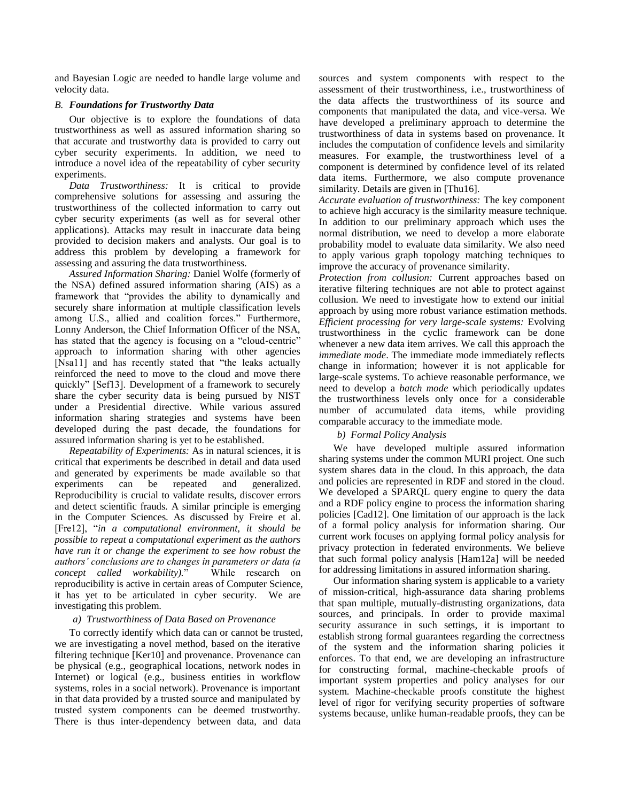and Bayesian Logic are needed to handle large volume and velocity data.

#### *B. Foundations for Trustworthy Data*

Our objective is to explore the foundations of data trustworthiness as well as assured information sharing so that accurate and trustworthy data is provided to carry out cyber security experiments. In addition, we need to introduce a novel idea of the repeatability of cyber security experiments.

*Data Trustworthiness:* It is critical to provide comprehensive solutions for assessing and assuring the trustworthiness of the collected information to carry out cyber security experiments (as well as for several other applications). Attacks may result in inaccurate data being provided to decision makers and analysts. Our goal is to address this problem by developing a framework for assessing and assuring the data trustworthiness.

*Assured Information Sharing:* Daniel Wolfe (formerly of the NSA) defined assured information sharing (AIS) as a framework that "provides the ability to dynamically and securely share information at multiple classification levels among U.S., allied and coalition forces." Furthermore, Lonny Anderson, the Chief Information Officer of the NSA, has stated that the agency is focusing on a "cloud-centric" approach to information sharing with other agencies [Nsa11] and has recently stated that "the leaks actually reinforced the need to move to the cloud and move there quickly" [Sef13]. Development of a framework to securely share the cyber security data is being pursued by NIST under a Presidential directive. While various assured information sharing strategies and systems have been developed during the past decade, the foundations for assured information sharing is yet to be established.

*Repeatability of Experiments:* As in natural sciences, it is critical that experiments be described in detail and data used and generated by experiments be made available so that experiments can be repeated and generalized. Reproducibility is crucial to validate results, discover errors and detect scientific frauds. A similar principle is emerging in the Computer Sciences. As discussed by Freire et al. [Fre12], "*in a computational environment, it should be possible to repeat a computational experiment as the authors have run it or change the experiment to see how robust the authors' conclusions are to changes in parameters or data (a concept called workability).*" While research on reproducibility is active in certain areas of Computer Science, it has yet to be articulated in cyber security. We are investigating this problem.

#### *a) Trustworthiness of Data Based on Provenance*

To correctly identify which data can or cannot be trusted, we are investigating a novel method, based on the iterative filtering technique [Ker10] and provenance. Provenance can be physical (e.g., geographical locations, network nodes in Internet) or logical (e.g., business entities in workflow systems, roles in a social network). Provenance is important in that data provided by a trusted source and manipulated by trusted system components can be deemed trustworthy. There is thus inter-dependency between data, and data

sources and system components with respect to the assessment of their trustworthiness, i.e., trustworthiness of the data affects the trustworthiness of its source and components that manipulated the data, and vice-versa. We have developed a preliminary approach to determine the trustworthiness of data in systems based on provenance. It includes the computation of confidence levels and similarity measures. For example, the trustworthiness level of a component is determined by confidence level of its related data items. Furthermore, we also compute provenance similarity. Details are given in [Thu16].

*Accurate evaluation of trustworthiness:* The key component to achieve high accuracy is the similarity measure technique. In addition to our preliminary approach which uses the normal distribution, we need to develop a more elaborate probability model to evaluate data similarity. We also need to apply various graph topology matching techniques to improve the accuracy of provenance similarity.

*Protection from collusion:* Current approaches based on iterative filtering techniques are not able to protect against collusion. We need to investigate how to extend our initial approach by using more robust variance estimation methods. *Efficient processing for very large-scale systems:* Evolving trustworthiness in the cyclic framework can be done whenever a new data item arrives. We call this approach the *immediate mode*. The immediate mode immediately reflects change in information; however it is not applicable for large-scale systems. To achieve reasonable performance, we need to develop a *batch mode* which periodically updates the trustworthiness levels only once for a considerable number of accumulated data items, while providing comparable accuracy to the immediate mode.

#### *b) Formal Policy Analysis*

We have developed multiple assured information sharing systems under the common MURI project. One such system shares data in the cloud. In this approach, the data and policies are represented in RDF and stored in the cloud. We developed a SPARQL query engine to query the data and a RDF policy engine to process the information sharing policies [Cad12]. One limitation of our approach is the lack of a formal policy analysis for information sharing. Our current work focuses on applying formal policy analysis for privacy protection in federated environments. We believe that such formal policy analysis [Ham12a] will be needed for addressing limitations in assured information sharing.

Our information sharing system is applicable to a variety of mission-critical, high-assurance data sharing problems that span multiple, mutually-distrusting organizations, data sources, and principals. In order to provide maximal security assurance in such settings, it is important to establish strong formal guarantees regarding the correctness of the system and the information sharing policies it enforces. To that end, we are developing an infrastructure for constructing formal, machine-checkable proofs of important system properties and policy analyses for our system. Machine-checkable proofs constitute the highest level of rigor for verifying security properties of software systems because, unlike human-readable proofs, they can be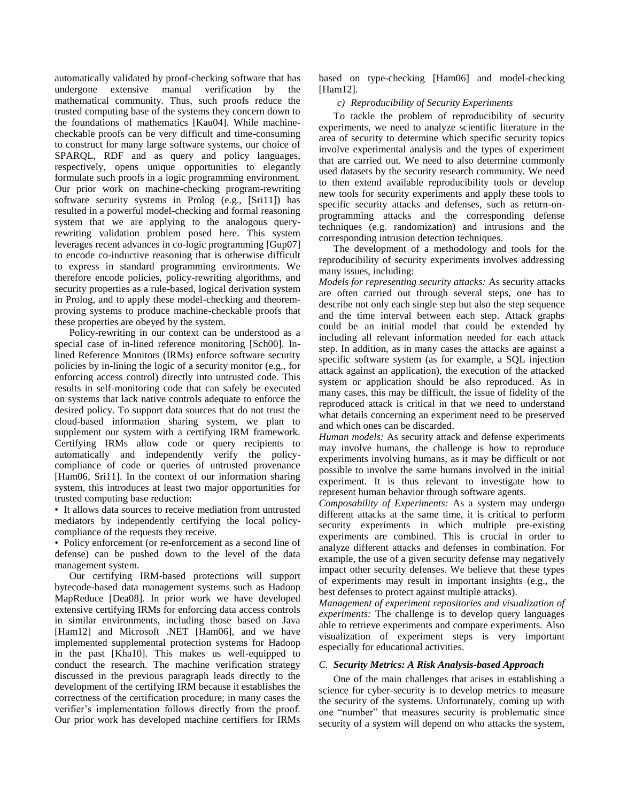automatically validated by proof-checking software that has undergone extensive manual verification by the mathematical community. Thus, such proofs reduce the trusted computing base of the systems they concern down to the foundations of mathematics [Kau04]. While machinecheckable proofs can be very difficult and time-consuming to construct for many large software systems, our choice of SPARQL, RDF and as query and policy languages, respectively, opens unique opportunities to elegantly formulate such proofs in a logic programming environment. Our prior work on machine-checking program-rewriting software security systems in Prolog (e.g., [Sri11]) has resulted in a powerful model-checking and formal reasoning system that we are applying to the analogous queryrewriting validation problem posed here. This system leverages recent advances in co-logic programming [Gup07] to encode co-inductive reasoning that is otherwise difficult to express in standard programming environments. We therefore encode policies, policy-rewriting algorithms, and security properties as a rule-based, logical derivation system in Prolog, and to apply these model-checking and theoremproving systems to produce machine-checkable proofs that these properties are obeyed by the system.

Policy-rewriting in our context can be understood as a special case of in-lined reference monitoring [Sch00]. Inlined Reference Monitors (IRMs) enforce software security policies by in-lining the logic of a security monitor (e.g., for enforcing access control) directly into untrusted code. This results in self-monitoring code that can safely be executed on systems that lack native controls adequate to enforce the desired policy. To support data sources that do not trust the cloud-based information sharing system, we plan to supplement our system with a certifying IRM framework. Certifying IRMs allow code or query recipients to automatically and independently verify the policycompliance of code or queries of untrusted provenance [Ham06, Sri11]. In the context of our information sharing system, this introduces at least two major opportunities for trusted computing base reduction:

• It allows data sources to receive mediation from untrusted mediators by independently certifying the local policycompliance of the requests they receive.

• Policy enforcement (or re-enforcement as a second line of defense) can be pushed down to the level of the data management system.

Our certifying IRM-based protections will support bytecode-based data management systems such as Hadoop MapReduce [Dea08]. In prior work we have developed extensive certifying IRMs for enforcing data access controls in similar environments, including those based on Java [Ham12] and Microsoft .NET [Ham06], and we have implemented supplemental protection systems for Hadoop in the past [Kha10]. This makes us well-equipped to conduct the research. The machine verification strategy discussed in the previous paragraph leads directly to the development of the certifying IRM because it establishes the correctness of the certification procedure; in many cases the verifier's implementation follows directly from the proof. Our prior work has developed machine certifiers for IRMs

based on type-checking [Ham06] and model-checking [Ham12].

### *c) Reproducibility of Security Experiments*

To tackle the problem of reproducibility of security experiments, we need to analyze scientific literature in the area of security to determine which specific security topics involve experimental analysis and the types of experiment that are carried out. We need to also determine commonly used datasets by the security research community. We need to then extend available reproducibility tools or develop new tools for security experiments and apply these tools to specific security attacks and defenses, such as return-onprogramming attacks and the corresponding defense techniques (e.g. randomization) and intrusions and the corresponding intrusion detection techniques.

The development of a methodology and tools for the reproducibility of security experiments involves addressing many issues, including:

*Models for representing security attacks:* As security attacks are often carried out through several steps, one has to describe not only each single step but also the step sequence and the time interval between each step. Attack graphs could be an initial model that could be extended by including all relevant information needed for each attack step. In addition, as in many cases the attacks are against a specific software system (as for example, a SQL injection attack against an application), the execution of the attacked system or application should be also reproduced. As in many cases, this may be difficult, the issue of fidelity of the reproduced attack is critical in that we need to understand what details concerning an experiment need to be preserved and which ones can be discarded.

*Human models:* As security attack and defense experiments may involve humans, the challenge is how to reproduce experiments involving humans, as it may be difficult or not possible to involve the same humans involved in the initial experiment. It is thus relevant to investigate how to represent human behavior through software agents.

*Composability of Experiments:* As a system may undergo different attacks at the same time, it is critical to perform security experiments in which multiple pre-existing experiments are combined. This is crucial in order to analyze different attacks and defenses in combination. For example, the use of a given security defense may negatively impact other security defenses. We believe that these types of experiments may result in important insights (e.g., the best defenses to protect against multiple attacks).

*Management of experiment repositories and visualization of experiments:* The challenge is to develop query languages able to retrieve experiments and compare experiments. Also visualization of experiment steps is very important especially for educational activities.

#### *C. Security Metrics: A Risk Analysis-based Approach*

One of the main challenges that arises in establishing a science for cyber-security is to develop metrics to measure the security of the systems. Unfortunately, coming up with one "number" that measures security is problematic since security of a system will depend on who attacks the system,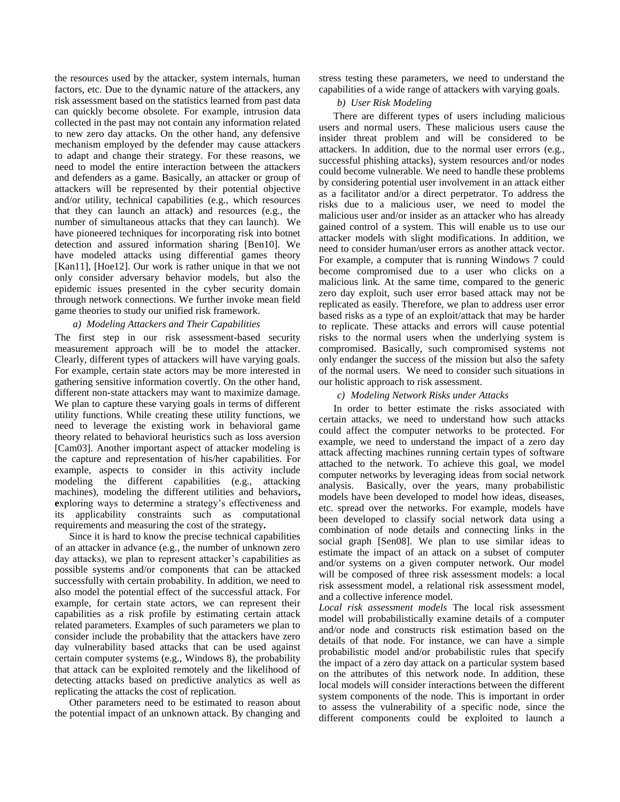the resources used by the attacker, system internals, human factors, etc. Due to the dynamic nature of the attackers, any risk assessment based on the statistics learned from past data can quickly become obsolete. For example, intrusion data collected in the past may not contain any information related to new zero day attacks. On the other hand, any defensive mechanism employed by the defender may cause attackers to adapt and change their strategy. For these reasons, we need to model the entire interaction between the attackers and defenders as a game. Basically, an attacker or group of attackers will be represented by their potential objective and/or utility, technical capabilities (e.g., which resources that they can launch an attack) and resources (e.g., the number of simultaneous attacks that they can launch). We have pioneered techniques for incorporating risk into botnet detection and assured information sharing [Ben10]. We have modeled attacks using differential games theory [Kan11], [Hoe12]. Our work is rather unique in that we not only consider adversary behavior models, but also the epidemic issues presented in the cyber security domain through network connections. We further invoke mean field game theories to study our unified risk framework.

#### *a) Modeling Attackers and Their Capabilities*

The first step in our risk assessment-based security measurement approach will be to model the attacker. Clearly, different types of attackers will have varying goals. For example, certain state actors may be more interested in gathering sensitive information covertly. On the other hand, different non-state attackers may want to maximize damage. We plan to capture these varying goals in terms of different utility functions. While creating these utility functions, we need to leverage the existing work in behavioral game theory related to behavioral heuristics such as loss aversion [Cam03]. Another important aspect of attacker modeling is the capture and representation of his/her capabilities. For example, aspects to consider in this activity include modeling the different capabilities (e.g., attacking machines), modeling the different utilities and behaviors**, e**xploring ways to determine a strategy's effectiveness and its applicability constraints such as computational requirements and measuring the cost of the strategy**.**

Since it is hard to know the precise technical capabilities of an attacker in advance (e.g., the number of unknown zero day attacks), we plan to represent attacker's capabilities as possible systems and/or components that can be attacked successfully with certain probability. In addition, we need to also model the potential effect of the successful attack. For example, for certain state actors, we can represent their capabilities as a risk profile by estimating certain attack related parameters. Examples of such parameters we plan to consider include the probability that the attackers have zero day vulnerability based attacks that can be used against certain computer systems (e.g., Windows 8), the probability that attack can be exploited remotely and the likelihood of detecting attacks based on predictive analytics as well as replicating the attacks the cost of replication.

Other parameters need to be estimated to reason about the potential impact of an unknown attack. By changing and stress testing these parameters, we need to understand the capabilities of a wide range of attackers with varying goals.

#### *b) User Risk Modeling*

There are different types of users including malicious users and normal users. These malicious users cause the insider threat problem and will be considered to be attackers. In addition, due to the normal user errors (e.g., successful phishing attacks), system resources and/or nodes could become vulnerable. We need to handle these problems by considering potential user involvement in an attack either as a facilitator and/or a direct perpetrator. To address the risks due to a malicious user, we need to model the malicious user and/or insider as an attacker who has already gained control of a system. This will enable us to use our attacker models with slight modifications. In addition, we need to consider human/user errors as another attack vector. For example, a computer that is running Windows 7 could become compromised due to a user who clicks on a malicious link. At the same time, compared to the generic zero day exploit, such user error based attack may not be replicated as easily. Therefore, we plan to address user error based risks as a type of an exploit/attack that may be harder to replicate. These attacks and errors will cause potential risks to the normal users when the underlying system is compromised. Basically, such compromised systems not only endanger the success of the mission but also the safety of the normal users. We need to consider such situations in our holistic approach to risk assessment.

#### *c) Modeling Network Risks under Attacks*

In order to better estimate the risks associated with certain attacks, we need to understand how such attacks could affect the computer networks to be protected. For example, we need to understand the impact of a zero day attack affecting machines running certain types of software attached to the network. To achieve this goal, we model computer networks by leveraging ideas from social network analysis. Basically, over the years, many probabilistic models have been developed to model how ideas, diseases, etc. spread over the networks. For example, models have been developed to classify social network data using a combination of node details and connecting links in the social graph [Sen08]. We plan to use similar ideas to estimate the impact of an attack on a subset of computer and/or systems on a given computer network. Our model will be composed of three risk assessment models: a local risk assessment model, a relational risk assessment model, and a collective inference model.

*Local risk assessment models* The local risk assessment model will probabilistically examine details of a computer and/or node and constructs risk estimation based on the details of that node. For instance, we can have a simple probabilistic model and/or probabilistic rules that specify the impact of a zero day attack on a particular system based on the attributes of this network node. In addition, these local models will consider interactions between the different system components of the node. This is important in order to assess the vulnerability of a specific node, since the different components could be exploited to launch a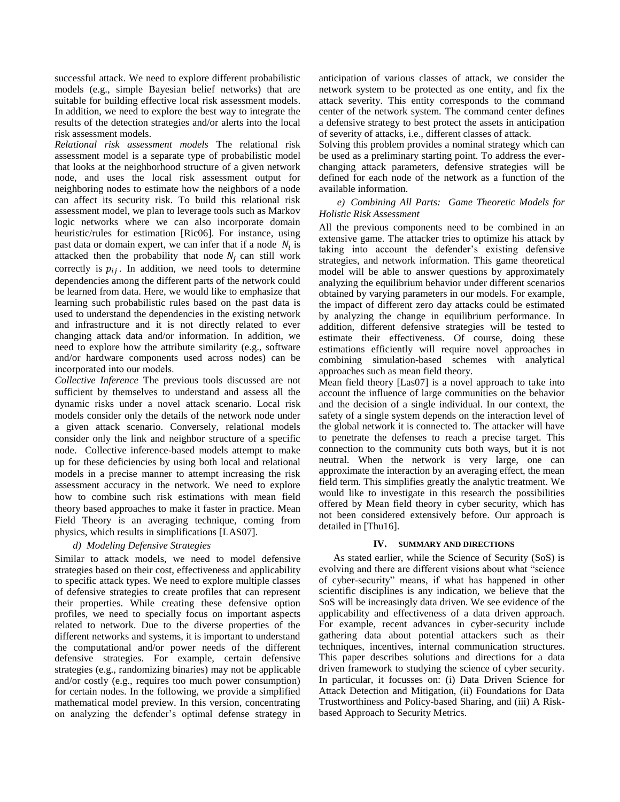successful attack. We need to explore different probabilistic models (e.g., simple Bayesian belief networks) that are suitable for building effective local risk assessment models. In addition, we need to explore the best way to integrate the results of the detection strategies and/or alerts into the local risk assessment models.

*Relational risk assessment models* The relational risk assessment model is a separate type of probabilistic model that looks at the neighborhood structure of a given network node, and uses the local risk assessment output for neighboring nodes to estimate how the neighbors of a node can affect its security risk. To build this relational risk assessment model, we plan to leverage tools such as Markov logic networks where we can also incorporate domain heuristic/rules for estimation [Ric06]. For instance, using past data or domain expert, we can infer that if a node  $N_i$  is attacked then the probability that node  $N_i$  can still work correctly is  $p_{ij}$ . In addition, we need tools to determine dependencies among the different parts of the network could be learned from data. Here, we would like to emphasize that learning such probabilistic rules based on the past data is used to understand the dependencies in the existing network and infrastructure and it is not directly related to ever changing attack data and/or information. In addition, we need to explore how the attribute similarity (e.g., software and/or hardware components used across nodes) can be incorporated into our models.

*Collective Inference* The previous tools discussed are not sufficient by themselves to understand and assess all the dynamic risks under a novel attack scenario. Local risk models consider only the details of the network node under a given attack scenario. Conversely, relational models consider only the link and neighbor structure of a specific node. Collective inference-based models attempt to make up for these deficiencies by using both local and relational models in a precise manner to attempt increasing the risk assessment accuracy in the network. We need to explore how to combine such risk estimations with mean field theory based approaches to make it faster in practice. Mean Field Theory is an averaging technique, coming from physics, which results in simplifications [LAS07].

# *d) Modeling Defensive Strategies*

Similar to attack models, we need to model defensive strategies based on their cost, effectiveness and applicability to specific attack types. We need to explore multiple classes of defensive strategies to create profiles that can represent their properties. While creating these defensive option profiles, we need to specially focus on important aspects related to network. Due to the diverse properties of the different networks and systems, it is important to understand the computational and/or power needs of the different defensive strategies. For example, certain defensive strategies (e.g., randomizing binaries) may not be applicable and/or costly (e.g., requires too much power consumption) for certain nodes. In the following, we provide a simplified mathematical model preview. In this version, concentrating on analyzing the defender's optimal defense strategy in

anticipation of various classes of attack, we consider the network system to be protected as one entity, and fix the attack severity. This entity corresponds to the command center of the network system. The command center defines a defensive strategy to best protect the assets in anticipation of severity of attacks, i.e., different classes of attack.

Solving this problem provides a nominal strategy which can be used as a preliminary starting point. To address the everchanging attack parameters, defensive strategies will be defined for each node of the network as a function of the available information.

#### *e) Combining All Parts: Game Theoretic Models for Holistic Risk Assessment*

All the previous components need to be combined in an extensive game. The attacker tries to optimize his attack by taking into account the defender's existing defensive strategies, and network information. This game theoretical model will be able to answer questions by approximately analyzing the equilibrium behavior under different scenarios obtained by varying parameters in our models. For example, the impact of different zero day attacks could be estimated by analyzing the change in equilibrium performance. In addition, different defensive strategies will be tested to estimate their effectiveness. Of course, doing these estimations efficiently will require novel approaches in combining simulation-based schemes with analytical approaches such as mean field theory.

Mean field theory [Las07] is a novel approach to take into account the influence of large communities on the behavior and the decision of a single individual. In our context, the safety of a single system depends on the interaction level of the global network it is connected to. The attacker will have to penetrate the defenses to reach a precise target. This connection to the community cuts both ways, but it is not neutral. When the network is very large, one can approximate the interaction by an averaging effect, the mean field term. This simplifies greatly the analytic treatment. We would like to investigate in this research the possibilities offered by Mean field theory in cyber security, which has not been considered extensively before. Our approach is detailed in [Thu16].

# **IV. SUMMARY AND DIRECTIONS**

As stated earlier, while the Science of Security (SoS) is evolving and there are different visions about what "science of cyber-security" means, if what has happened in other scientific disciplines is any indication, we believe that the SoS will be increasingly data driven. We see evidence of the applicability and effectiveness of a data driven approach. For example, recent advances in cyber-security include gathering data about potential attackers such as their techniques, incentives, internal communication structures. This paper describes solutions and directions for a data driven framework to studying the science of cyber security. In particular, it focusses on: (i) Data Driven Science for Attack Detection and Mitigation, (ii) Foundations for Data Trustworthiness and Policy-based Sharing, and (iii) A Riskbased Approach to Security Metrics.